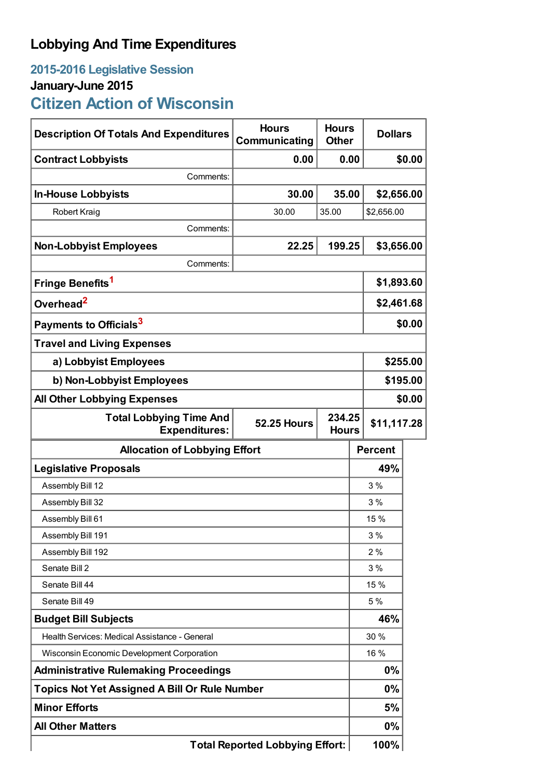## **Lobbying And Time Expenditures**

# **2015-2016 Legislative Session January-June 2015**

**Citizen Action of Wisconsin**

| <b>Description Of Totals And Expenditures</b>          | <b>Hours</b><br>Communicating                | <b>Hours</b><br><b>Other</b> |  | <b>Dollars</b> |        |
|--------------------------------------------------------|----------------------------------------------|------------------------------|--|----------------|--------|
| <b>Contract Lobbyists</b>                              | 0.00                                         | 0.00                         |  | \$0.00         |        |
| Comments:                                              |                                              |                              |  |                |        |
| <b>In-House Lobbyists</b>                              | 30.00                                        | 35.00                        |  | \$2,656.00     |        |
| Robert Kraig                                           | 30.00                                        | 35.00                        |  | \$2,656.00     |        |
| Comments:                                              |                                              |                              |  |                |        |
| <b>Non-Lobbyist Employees</b>                          | 22.25                                        | 199.25                       |  | \$3,656.00     |        |
| Comments:                                              |                                              |                              |  |                |        |
| Fringe Benefits <sup>1</sup>                           |                                              |                              |  | \$1,893.60     |        |
| Overhead <sup>2</sup>                                  |                                              |                              |  | \$2,461.68     |        |
| Payments to Officials <sup>3</sup>                     |                                              |                              |  | \$0.00         |        |
| <b>Travel and Living Expenses</b>                      |                                              |                              |  |                |        |
| a) Lobbyist Employees                                  |                                              |                              |  | \$255.00       |        |
| b) Non-Lobbyist Employees                              |                                              |                              |  | \$195.00       |        |
| <b>All Other Lobbying Expenses</b>                     |                                              |                              |  |                | \$0.00 |
| <b>Total Lobbying Time And</b><br><b>Expenditures:</b> | 234.25<br><b>52.25 Hours</b><br><b>Hours</b> |                              |  | \$11,117.28    |        |
| <b>Allocation of Lobbying Effort</b>                   |                                              |                              |  | <b>Percent</b> |        |
| <b>Legislative Proposals</b>                           |                                              |                              |  | 49%            |        |
| Assembly Bill 12                                       |                                              |                              |  | 3%             |        |
| Assembly Bill 32                                       |                                              |                              |  | 3%             |        |
| Assembly Bill 61                                       |                                              |                              |  | 15 %           |        |
| Assembly Bill 191                                      |                                              |                              |  | 3%             |        |
| Assembly Bill 192                                      |                                              |                              |  | 2%             |        |
| Senate Bill 2                                          |                                              |                              |  | 3%             |        |
| Senate Bill 44                                         |                                              |                              |  | 15 %           |        |
| Senate Bill 49                                         |                                              |                              |  | 5 %            |        |
| <b>Budget Bill Subjects</b>                            |                                              |                              |  | 46%            |        |
| Health Services: Medical Assistance - General          |                                              |                              |  | 30 %           |        |
| Wisconsin Economic Development Corporation             |                                              |                              |  | 16 %           |        |
| <b>Administrative Rulemaking Proceedings</b>           |                                              |                              |  | $0\%$          |        |
| <b>Topics Not Yet Assigned A Bill Or Rule Number</b>   |                                              |                              |  | $0\%$          |        |
| <b>Minor Efforts</b>                                   |                                              |                              |  | 5%             |        |
| <b>All Other Matters</b>                               |                                              |                              |  | $0\%$          |        |
| <b>Total Reported Lobbying Effort:</b>                 |                                              |                              |  | 100%           |        |